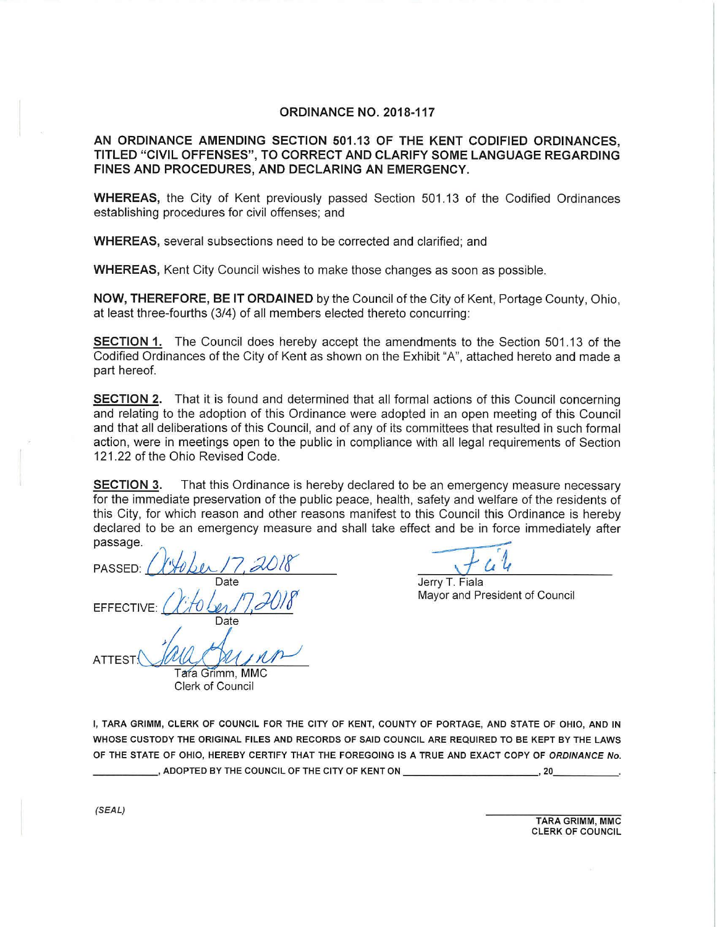## **ORDINANCE NO. 2018-117**

**AN ORDINANCE AMENDING SECTION 501.13 OF THE KENT CODIFIED ORDINANCES, TITLED "CIVIL OFFENSES", TO CORRECT AND CLARIFY SOME LANGUAGE REGARDING FINES AND PROCEDURES, AND DECLARING AN EMERGENCY.** 

**WHEREAS,** the City of Kent previously passed Section 501.13 of the Codified Ordinances establishing procedures for civil offenses; and

**WHEREAS,** several subsections need to be corrected and clarified; and

**WHEREAS,** Kent City Council wishes to make those changes as soon as possible.

**NOW, THEREFORE, BE IT ORDAINED** by the Council of the City of Kent, Portage County, Ohio, at least three-fourths (3/4) of all members elected thereto concurring:

**SECTION 1.** The Council does hereby accept the amendments to the Section 501.13 of the Codified Ordinances of the City of Kent as shown on the Exhibit "A", attached hereto and made a part hereof.

**SECTION 2.** That it is found and determined that all formal actions of this Council concerning and relating to the adoption of this Ordinance were adopted in an open meeting of this Council and that all deliberations of this Council, and of any of its committees that resulted in such formal action, were in meetings open to the public in compliance with all legal requirements of Section 121.22 of the Ohio Revised Code.

**SECTION 3.** That this Ordinance is hereby declared to be an emergency measure necessary for the immediate preservation of the public peace, health, safety and welfare of the residents of this City, for which reason and other reasons manifest to this Council this Ordinance is hereby declared to be an emergency measure and shall take effect and be in force immediately after<br>passage.<br>PASSED:  $\frac{\sqrt{(\sqrt[4]{6LU}}/7,2018)}{\text{Date}}$ <br>PASSED:  $\frac{\sqrt{d}}{\sqrt{d}}$  Date passage.

EFFECTIV  $\overline{ }$  Date

 $ATTEST$ 

Tara Grimm, MMC Clerk of Council

I, TARA GRIMM, CLERK OF COUNCIL FOR THE CITY OF KENT, COUNTY OF PORTAGE, AND STATE OF OHIO, AND IN WHOSE CUSTODY THE ORIGINAL FILES AND RECORDS OF SAID COUNCIL ARE REQUIRED TO BE KEPT BY THE LAWS OF THE STATE OF OHIO, HEREBY CERTIFY THAT THE FOREGOING IS A TRUE AND EXACT COPY OF ORDINANCE No. \_\_\_\_ , ADOPTED BY THE COUNCIL OF THE CITY OF KENT ON \_\_\_\_\_\_\_\_\_ 20 \_\_\_ \_

> TARA GRIMM, MMC CLERK OF COUNCIL

(SEAL)